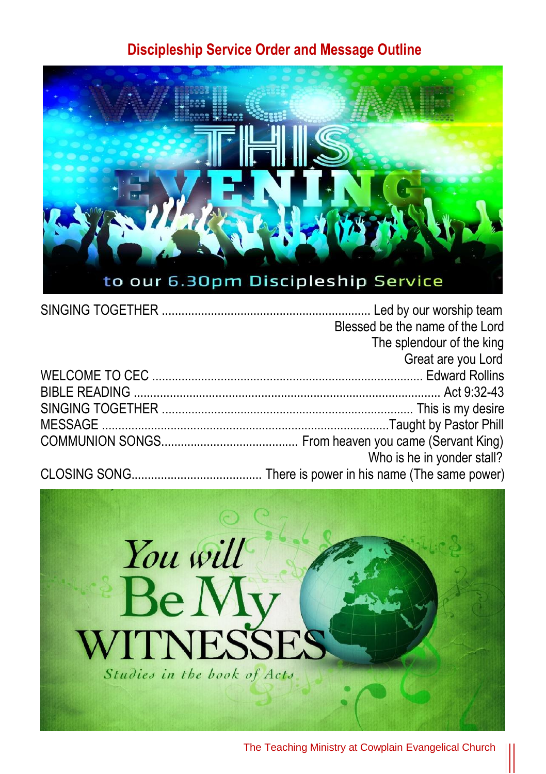## **Discipleship Service Order and Message Outline**



| Blessed be the name of the Lord |
|---------------------------------|
| The splendour of the king       |
| Great are you Lord              |
|                                 |
|                                 |
|                                 |
|                                 |
|                                 |
| Who is he in yonder stall?      |
|                                 |



The Teaching Ministry at Cowplain Evangelical Church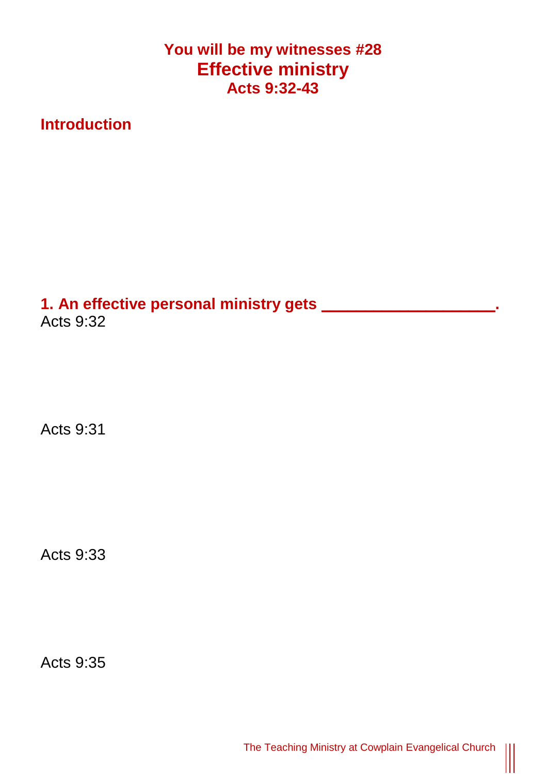**You will be my witnesses #28 Effective ministry Acts 9:32-43**

**Introduction**

**1. An effective personal ministry gets \_\_\_\_\_\_\_\_\_\_\_\_\_\_\_\_\_\_\_\_.** Acts 9:32

Acts 9:31

Acts 9:33

Acts 9:35

 $\begin{matrix} \vspace{0.1cm} \vspace{0.1cm} \vspace{0.1cm} \vspace{0.1cm} \vspace{0.1cm} \vspace{0.1cm} \vspace{0.1cm} \vspace{0.1cm} \vspace{0.1cm} \vspace{0.1cm} \vspace{0.1cm} \vspace{0.1cm} \vspace{0.1cm} \vspace{0.1cm} \vspace{0.1cm} \vspace{0.1cm} \vspace{0.1cm} \vspace{0.1cm} \vspace{0.1cm} \vspace{0.1cm} \vspace{0.1cm} \vspace{0.1cm} \vspace{0.1cm} \vspace{0.1cm$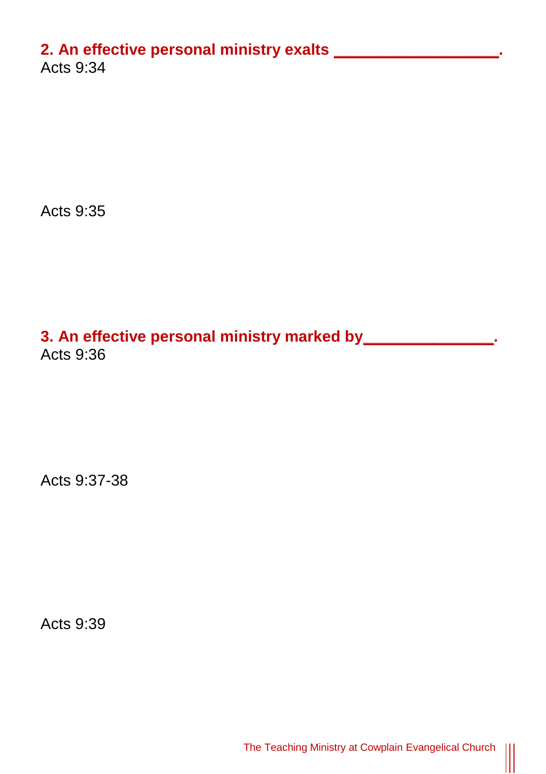## **2. An effective personal ministry exalts \_\_\_\_\_\_\_\_\_\_\_\_\_\_\_\_\_\_\_.**

Acts 9:34

Acts 9:35

# **3. An effective personal ministry marked by\_\_\_\_\_\_\_\_\_\_\_\_\_\_\_.** Acts 9:36

Acts 9:37-38

Acts 9:39